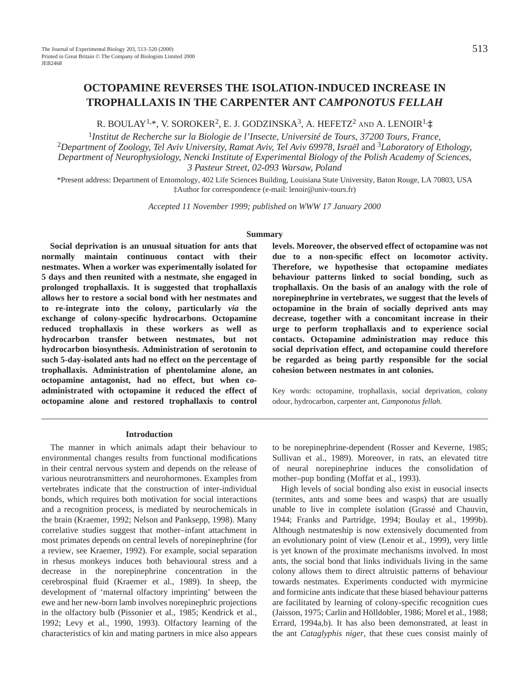# **OCTOPAMINE REVERSES THE ISOLATION-INDUCED INCREASE IN TROPHALLAXIS IN THE CARPENTER ANT** *CAMPONOTUS FELLAH*

R. BOULAY1,\*, V. SOROKER2, E. J. GODZINSKA3, A. HEFETZ2 AND A. LENOIR1,**‡**

<sup>1</sup>*Institut de Recherche sur la Biologie de l'Insecte, Université de Tours, 37200 Tours, France,*  <sup>2</sup>*Department of Zoology, Tel Aviv University, Ramat Aviv, Tel Aviv 69978, Israël* and 3*Laboratory of Ethology, Department of Neurophysiology, Nencki Institute of Experimental Biology of the Polish Academy of Sciences, 3 Pasteur Street, 02-093 Warsaw, Poland*

\*Present address: Department of Entomology, 402 Life Sciences Building, Louisiana State University, Baton Rouge, LA 70803, USA ‡Author for correspondence (e-mail: lenoir@univ-tours.fr)

*Accepted 11 November 1999; published on WWW 17 January 2000*

## **Summary**

**Social deprivation is an unusual situation for ants that normally maintain continuous contact with their nestmates. When a worker was experimentally isolated for 5 days and then reunited with a nestmate, she engaged in prolonged trophallaxis. It is suggested that trophallaxis allows her to restore a social bond with her nestmates and to re-integrate into the colony, particularly** *via* **the exchange of colony-specific hydrocarbons. Octopamine reduced trophallaxis in these workers as well as hydrocarbon transfer between nestmates, but not hydrocarbon biosynthesis. Administration of serotonin to such 5-day-isolated ants had no effect on the percentage of trophallaxis. Administration of phentolamine alone, an octopamine antagonist, had no effect, but when coadministrated with octopamine it reduced the effect of octopamine alone and restored trophallaxis to control** **levels. Moreover, the observed effect of octopamine was not due to a non-specific effect on locomotor activity. Therefore, we hypothesise that octopamine mediates behaviour patterns linked to social bonding, such as trophallaxis. On the basis of an analogy with the role of norepinephrine in vertebrates, we suggest that the levels of octopamine in the brain of socially deprived ants may decrease, together with a concomitant increase in their urge to perform trophallaxis and to experience social contacts. Octopamine administration may reduce this social deprivation effect, and octopamine could therefore be regarded as being partly responsible for the social cohesion between nestmates in ant colonies.**

Key words: octopamine, trophallaxis, social deprivation, colony odour, hydrocarbon, carpenter ant, *Camponotus fellah.*

### **Introduction**

The manner in which animals adapt their behaviour to environmental changes results from functional modifications in their central nervous system and depends on the release of various neurotransmitters and neurohormones. Examples from vertebrates indicate that the construction of inter-individual bonds, which requires both motivation for social interactions and a recognition process, is mediated by neurochemicals in the brain (Kraemer, 1992; Nelson and Panksepp, 1998). Many correlative studies suggest that mother–infant attachment in most primates depends on central levels of norepinephrine (for a review, see Kraemer, 1992). For example, social separation in rhesus monkeys induces both behavioural stress and a decrease in the norepinephrine concentration in the cerebrospinal fluid (Kraemer et al., 1989). In sheep, the development of 'maternal olfactory imprinting' between the ewe and her new-born lamb involves norepinephric projections in the olfactory bulb (Pissonier et al., 1985; Kendrick et al., 1992; Levy et al., 1990, 1993). Olfactory learning of the characteristics of kin and mating partners in mice also appears to be norepinephrine-dependent (Rosser and Keverne, 1985; Sullivan et al., 1989). Moreover, in rats, an elevated titre of neural norepinephrine induces the consolidation of mother–pup bonding (Moffat et al., 1993).

High levels of social bonding also exist in eusocial insects (termites, ants and some bees and wasps) that are usually unable to live in complete isolation (Grassé and Chauvin, 1944; Franks and Partridge, 1994; Boulay et al., 1999b). Although nestmateship is now extensively documented from an evolutionary point of view (Lenoir et al., 1999), very little is yet known of the proximate mechanisms involved. In most ants, the social bond that links individuals living in the same colony allows them to direct altruistic patterns of behaviour towards nestmates. Experiments conducted with myrmicine and formicine ants indicate that these biased behaviour patterns are facilitated by learning of colony-specific recognition cues (Jaisson, 1975; Carlin and Hölldobler, 1986; Morel et al., 1988; Errard, 1994a,b). It has also been demonstrated, at least in the ant *Cataglyphis niger*, that these cues consist mainly of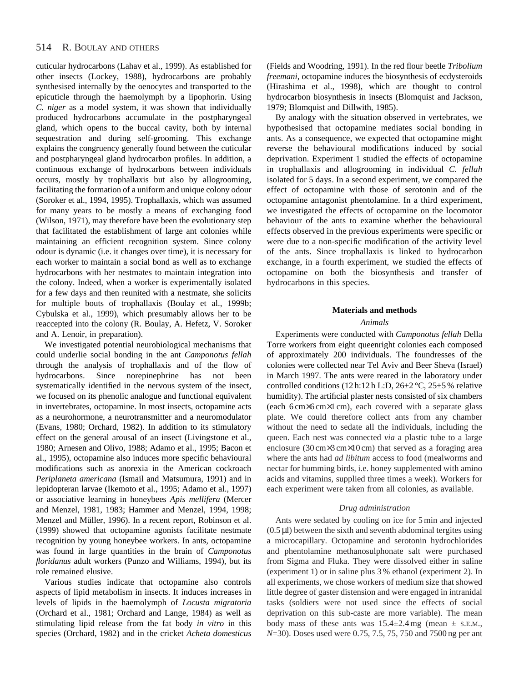cuticular hydrocarbons (Lahav et al., 1999). As established for other insects (Lockey, 1988), hydrocarbons are probably synthesised internally by the oenocytes and transported to the epicuticle through the haemolymph by a lipophorin. Using *C. niger* as a model system, it was shown that individually produced hydrocarbons accumulate in the postpharyngeal gland, which opens to the buccal cavity, both by internal sequestration and during self-grooming. This exchange explains the congruency generally found between the cuticular and postpharyngeal gland hydrocarbon profiles. In addition, a continuous exchange of hydrocarbons between individuals occurs, mostly by trophallaxis but also by allogrooming, facilitating the formation of a uniform and unique colony odour (Soroker et al., 1994, 1995). Trophallaxis, which was assumed for many years to be mostly a means of exchanging food (Wilson, 1971), may therefore have been the evolutionary step that facilitated the establishment of large ant colonies while maintaining an efficient recognition system. Since colony odour is dynamic (i.e. it changes over time), it is necessary for each worker to maintain a social bond as well as to exchange hydrocarbons with her nestmates to maintain integration into the colony. Indeed, when a worker is experimentally isolated for a few days and then reunited with a nestmate, she solicits for multiple bouts of trophallaxis (Boulay et al., 1999b; Cybulska et al., 1999), which presumably allows her to be reaccepted into the colony (R. Boulay, A. Hefetz, V. Soroker and A. Lenoir, in preparation).

We investigated potential neurobiological mechanisms that could underlie social bonding in the ant *Camponotus fellah* through the analysis of trophallaxis and of the flow of hydrocarbons. Since norepinephrine has not been systematically identified in the nervous system of the insect, we focused on its phenolic analogue and functional equivalent in invertebrates, octopamine. In most insects, octopamine acts as a neurohormone, a neurotransmitter and a neuromodulator (Evans, 1980; Orchard, 1982). In addition to its stimulatory effect on the general arousal of an insect (Livingstone et al., 1980; Arnesen and Olivo, 1988; Adamo et al., 1995; Bacon et al., 1995), octopamine also induces more specific behavioural modifications such as anorexia in the American cockroach *Periplaneta americana* (Ismail and Matsumura, 1991) and in lepidopteran larvae (Ikemoto et al., 1995; Adamo et al., 1997) or associative learning in honeybees *Apis mellifera* (Mercer and Menzel, 1981, 1983; Hammer and Menzel, 1994, 1998; Menzel and Müller, 1996). In a recent report, Robinson et al. (1999) showed that octopamine agonists facilitate nestmate recognition by young honeybee workers. In ants, octopamine was found in large quantities in the brain of *Camponotus floridanus* adult workers (Punzo and Williams, 1994), but its role remained elusive.

Various studies indicate that octopamine also controls aspects of lipid metabolism in insects. It induces increases in levels of lipids in the haemolymph of *Locusta migratoria* (Orchard et al., 1981; Orchard and Lange, 1984) as well as stimulating lipid release from the fat body *in vitro* in this species (Orchard, 1982) and in the cricket *Acheta domesticus*

(Fields and Woodring, 1991). In the red flour beetle *Tribolium freemani*, octopamine induces the biosynthesis of ecdysteroids (Hirashima et al., 1998), which are thought to control hydrocarbon biosynthesis in insects (Blomquist and Jackson, 1979; Blomquist and Dillwith, 1985).

By analogy with the situation observed in vertebrates, we hypothesised that octopamine mediates social bonding in ants. As a consequence, we expected that octopamine might reverse the behavioural modifications induced by social deprivation. Experiment 1 studied the effects of octopamine in trophallaxis and allogrooming in individual *C. fellah* isolated for 5 days. In a second experiment, we compared the effect of octopamine with those of serotonin and of the octopamine antagonist phentolamine. In a third experiment, we investigated the effects of octopamine on the locomotor behaviour of the ants to examine whether the behavioural effects observed in the previous experiments were specific or were due to a non-specific modification of the activity level of the ants. Since trophallaxis is linked to hydrocarbon exchange, in a fourth experiment, we studied the effects of octopamine on both the biosynthesis and transfer of hydrocarbons in this species.

## **Materials and methods**

## *Animals*

Experiments were conducted with *Camponotus fellah* Della Torre workers from eight queenright colonies each composed of approximately 200 individuals. The foundresses of the colonies were collected near Tel Aviv and Beer Sheva (Israel) in March 1997. The ants were reared in the laboratory under controlled conditions (12 h:12 h L:D,  $26\pm2$  °C,  $25\pm5$ % relative humidity). The artificial plaster nests consisted of six chambers (each 6 cm×6 cm×1 cm), each covered with a separate glass plate. We could therefore collect ants from any chamber without the need to sedate all the individuals, including the queen. Each nest was connected *via* a plastic tube to a large enclosure (30 cm×3 cm×10 cm) that served as a foraging area where the ants had *ad libitum* access to food (mealworms and nectar for humming birds, i.e. honey supplemented with amino acids and vitamins, supplied three times a week). Workers for each experiment were taken from all colonies, as available.

### *Drug administration*

Ants were sedated by cooling on ice for 5 min and injected  $(0.5 \mu I)$  between the sixth and seventh abdominal tergites using a microcapillary. Octopamine and serotonin hydrochlorides and phentolamine methanosulphonate salt were purchased from Sigma and Fluka. They were dissolved either in saline (experiment 1) or in saline plus 3 % ethanol (experiment 2). In all experiments, we chose workers of medium size that showed little degree of gaster distension and were engaged in intranidal tasks (soldiers were not used since the effects of social deprivation on this sub-caste are more variable). The mean body mass of these ants was  $15.4 \pm 2.4$  mg (mean  $\pm$  s.e.m., *N*=30). Doses used were 0.75, 7.5, 75, 750 and 7500 ng per ant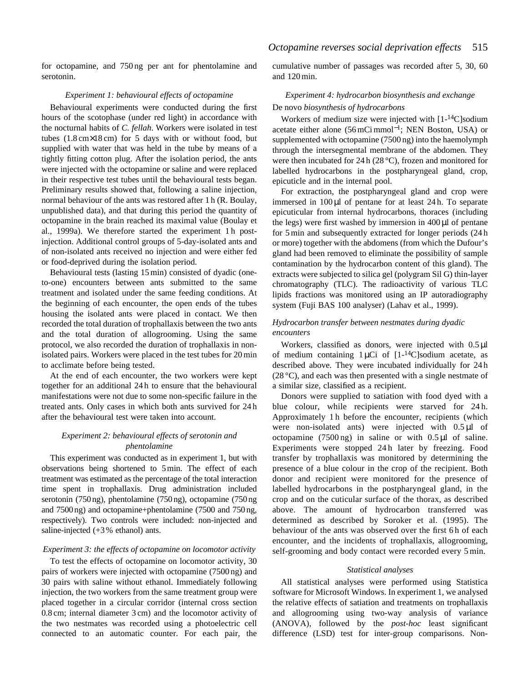for octopamine, and 750 ng per ant for phentolamine and serotonin.

### *Experiment 1: behavioural effects of octopamine*

Behavioural experiments were conducted during the first hours of the scotophase (under red light) in accordance with the nocturnal habits of *C. fellah*. Workers were isolated in test tubes  $(1.8 \text{ cm} \times 18 \text{ cm})$  for 5 days with or without food, but supplied with water that was held in the tube by means of a tightly fitting cotton plug. After the isolation period, the ants were injected with the octopamine or saline and were replaced in their respective test tubes until the behavioural tests began. Preliminary results showed that, following a saline injection, normal behaviour of the ants was restored after 1 h (R. Boulay, unpublished data), and that during this period the quantity of octopamine in the brain reached its maximal value (Boulay et al., 1999a). We therefore started the experiment 1h postinjection. Additional control groups of 5-day-isolated ants and of non-isolated ants received no injection and were either fed or food-deprived during the isolation period.

Behavioural tests (lasting 15 min) consisted of dyadic (oneto-one) encounters between ants submitted to the same treatment and isolated under the same feeding conditions. At the beginning of each encounter, the open ends of the tubes housing the isolated ants were placed in contact. We then recorded the total duration of trophallaxis between the two ants and the total duration of allogrooming. Using the same protocol, we also recorded the duration of trophallaxis in nonisolated pairs. Workers were placed in the test tubes for 20 min to acclimate before being tested.

At the end of each encounter, the two workers were kept together for an additional 24 h to ensure that the behavioural manifestations were not due to some non-specific failure in the treated ants. Only cases in which both ants survived for 24 h after the behavioural test were taken into account.

# *Experiment 2: behavioural effects of serotonin and phentolamine*

This experiment was conducted as in experiment 1, but with observations being shortened to 5 min. The effect of each treatment was estimated as the percentage of the total interaction time spent in trophallaxis. Drug administration included serotonin (750 ng), phentolamine (750 ng), octopamine (750 ng and 7500 ng) and octopamine+phentolamine (7500 and 750 ng, respectively). Two controls were included: non-injected and saline-injected (+3 % ethanol) ants.

### *Experiment 3: the effects of octopamine on locomotor activity*

To test the effects of octopamine on locomotor activity, 30 pairs of workers were injected with octopamine (7500 ng) and 30 pairs with saline without ethanol. Immediately following injection, the two workers from the same treatment group were placed together in a circular corridor (internal cross section 0.8 cm; internal diameter 3 cm) and the locomotor activity of the two nestmates was recorded using a photoelectric cell connected to an automatic counter. For each pair, the cumulative number of passages was recorded after 5, 30, 60 and 120 min.

# *Experiment 4: hydrocarbon biosynthesis and exchange* De novo *biosynthesis of hydrocarbons*

Workers of medium size were injected with [1-<sup>14</sup>C]sodium acetate either alone (56 mCi mmol<sup>−</sup>1; NEN Boston, USA) or supplemented with octopamine (7500 ng) into the haemolymph through the intersegmental membrane of the abdomen. They were then incubated for 24 h (28 °C), frozen and monitored for labelled hydrocarbons in the postpharyngeal gland, crop, epicuticle and in the internal pool.

For extraction, the postpharyngeal gland and crop were immersed in 100 µl of pentane for at least 24 h. To separate epicuticular from internal hydrocarbons, thoraces (including the legs) were first washed by immersion in  $400 \mu$ l of pentane for 5 min and subsequently extracted for longer periods (24 h or more) together with the abdomens (from which the Dufour's gland had been removed to eliminate the possibility of sample contamination by the hydrocarbon content of this gland). The extracts were subjected to silica gel (polygram Sil G) thin-layer chromatography (TLC). The radioactivity of various TLC lipids fractions was monitored using an IP autoradiography system (Fuji BAS 100 analyser) (Lahav et al., 1999).

# *Hydrocarbon transfer between nestmates during dyadic encounters*

Workers, classified as donors, were injected with 0.5 µl of medium containing  $1 \mu$ Ci of  $[1 - {^{14}C}]$ sodium acetate, as described above. They were incubated individually for 24 h  $(28 \degree C)$ , and each was then presented with a single nestmate of a similar size, classified as a recipient.

Donors were supplied to satiation with food dyed with a blue colour, while recipients were starved for 24 h. Approximately 1 h before the encounter, recipients (which were non-isolated ants) were injected with  $0.5 \mu$ l of octopamine  $(7500 \text{ ng})$  in saline or with  $0.5 \mu$  of saline. Experiments were stopped 24h later by freezing. Food transfer by trophallaxis was monitored by determining the presence of a blue colour in the crop of the recipient. Both donor and recipient were monitored for the presence of labelled hydrocarbons in the postpharyngeal gland, in the crop and on the cuticular surface of the thorax, as described above. The amount of hydrocarbon transferred was determined as described by Soroker et al. (1995). The behaviour of the ants was observed over the first 6 h of each encounter, and the incidents of trophallaxis, allogrooming, self-grooming and body contact were recorded every 5 min.

### *Statistical analyses*

All statistical analyses were performed using Statistica software for Microsoft Windows. In experiment 1, we analysed the relative effects of satiation and treatments on trophallaxis and allogrooming using two-way analysis of variance (ANOVA), followed by the *post-hoc* least significant difference (LSD) test for inter-group comparisons. Non-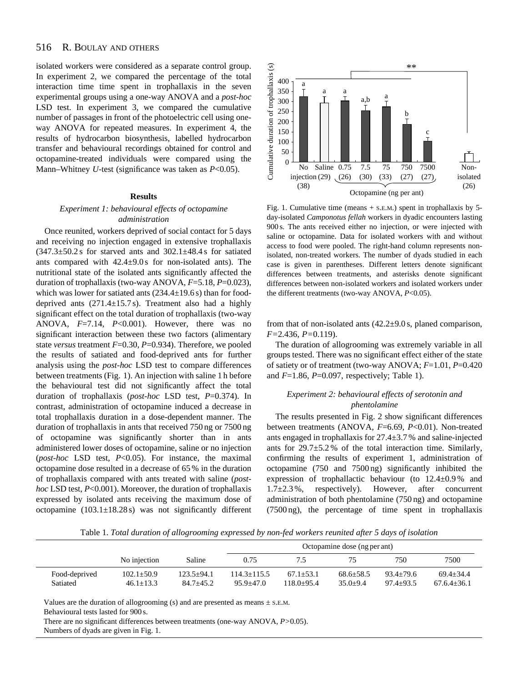#### 516 R. BOULAY AND OTHERS

isolated workers were considered as a separate control group. In experiment 2, we compared the percentage of the total interaction time time spent in trophallaxis in the seven experimental groups using a one-way ANOVA and a *post-hoc* LSD test. In experiment 3, we compared the cumulative number of passages in front of the photoelectric cell using oneway ANOVA for repeated measures. In experiment 4, the results of hydrocarbon biosynthesis, labelled hydrocarbon transfer and behavioural recordings obtained for control and octopamine-treated individuals were compared using the Mann–Whitney *U*-test (significance was taken as *P*<0.05).

### **Results**

# *Experiment 1: behavioural effects of octopamine administration*

Once reunited, workers deprived of social contact for 5 days and receiving no injection engaged in extensive trophallaxis  $(347.3\pm50.2 \text{ s}$  for starved ants and  $302.1\pm48.4 \text{ s}$  for satiated ants compared with  $42.4 \pm 9.0$  s for non-isolated ants). The nutritional state of the isolated ants significantly affected the duration of trophallaxis (two-way ANOVA, *F*=5.18, *P*=0.023), which was lower for satiated ants  $(234.4\pm19.6 s)$  than for fooddeprived ants  $(271.4 \pm 15.7 s)$ . Treatment also had a highly significant effect on the total duration of trophallaxis (two-way ANOVA, *F*=7.14, *P*<0.001). However, there was no significant interaction between these two factors (alimentary state *versus* treatment *F*=0.30, *P*=0.934). Therefore, we pooled the results of satiated and food-deprived ants for further analysis using the *post-hoc* LSD test to compare differences between treatments (Fig. 1). An injection with saline 1 h before the behavioural test did not significantly affect the total duration of trophallaxis (*post-hoc* LSD test, *P*=0.374). In contrast, administration of octopamine induced a decrease in total trophallaxis duration in a dose-dependent manner. The duration of trophallaxis in ants that received 750 ng or 7500 ng of octopamine was significantly shorter than in ants administered lower doses of octopamine, saline or no injection (*post-hoc* LSD test, *P*<0.05). For instance, the maximal octopamine dose resulted in a decrease of 65 % in the duration of trophallaxis compared with ants treated with saline (*posthoc* LSD test, *P*<0.001). Moreover, the duration of trophallaxis expressed by isolated ants receiving the maximum dose of octopamine  $(103.1 \pm 18.28 \text{ s})$  was not significantly different



Fig. 1. Cumulative time (means + S.E.M.) spent in trophallaxis by 5 day-isolated *Camponotus fellah* workers in dyadic encounters lasting 900 s. The ants received either no injection, or were injected with saline or octopamine. Data for isolated workers with and without access to food were pooled. The right-hand column represents nonisolated, non-treated workers. The number of dyads studied in each case is given in parentheses. Different letters denote significant differences between treatments, and asterisks denote significant differences between non-isolated workers and isolated workers under the different treatments (two-way ANOVA, *P*<0.05).

from that of non-isolated ants  $(42.2\pm9.0 \text{ s}, \text{planed comparison},$ *F=*2.436, *P=*0.119).

The duration of allogrooming was extremely variable in all groups tested. There was no significant effect either of the state of satiety or of treatment (two-way ANOVA; *F*=1.01, *P*=0.420 and *F*=1.86, *P*=0.097, respectively; Table 1).

# *Experiment 2: behavioural effects of serotonin and phentolamine*

The results presented in Fig. 2 show significant differences between treatments (ANOVA, *F*=6.69, *P*<0.01). Non-treated ants engaged in trophallaxis for 27.4±3.7 % and saline-injected ants for  $29.7\pm5.2\%$  of the total interaction time. Similarly, confirming the results of experiment 1, administration of octopamine (750 and 7500 ng) significantly inhibited the expression of trophallactic behaviour (to 12.4±0.9 % and  $1.7\pm2.3\%$ , respectively). However, after concurrent administration of both phentolamine (750 ng) and octopamine (7500 ng), the percentage of time spent in trophallaxis

Table 1. *Total duration of allogrooming expressed by non-fed workers reunited after 5 days of isolation*

|               |                |              | Octopamine dose (ng per ant) |                |               |               |                 |  |
|---------------|----------------|--------------|------------------------------|----------------|---------------|---------------|-----------------|--|
|               | No injection   | Saline       | 0.75                         | 7.5            |               | 750           | 7500            |  |
| Food-deprived | $102.1 + 50.9$ | $123.5+94.1$ | $114.3 + 115.5$              | $67.1 + 53.1$  | $68.6 + 58.5$ | $93.4 + 79.6$ | $69.4 + 34.4$   |  |
| Satiated      | $46.1 + 13.3$  | 84.7+45.2    | $95.9 + 47.0$                | $118.0 + 95.4$ | $35.0 + 9.4$  | $97.4 + 93.5$ | $67.6.4 + 36.1$ |  |

Values are the duration of allogrooming (s) and are presented as means  $\pm$  s.e.m.

Behavioural tests lasted for 900 s.

There are no significant differences between treatments (one-way ANOVA, *P>*0.05). Numbers of dyads are given in Fig. 1.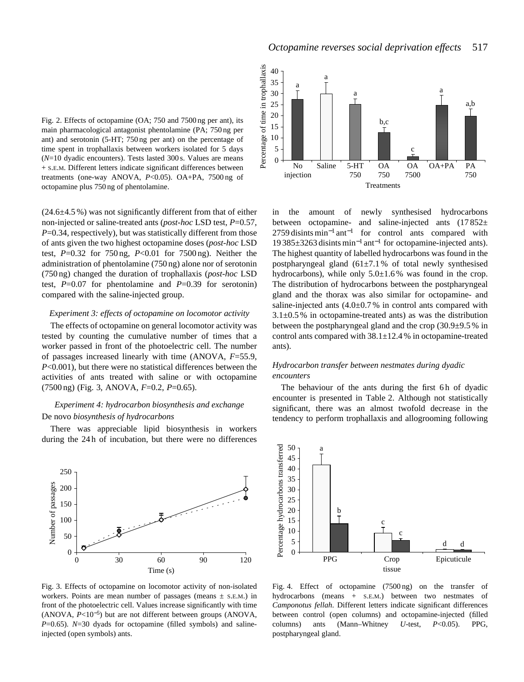

 $(24.6\pm4.5\%)$  was not significantly different from that of either non-injected or saline-treated ants (*post-hoc* LSD test, *P*=0.57, *P*=0.34, respectively), but was statistically different from those of ants given the two highest octopamine doses (*post-hoc* LSD test, *P*=0.32 for 750 ng, *P*<0.01 for 7500 ng). Neither the administration of phentolamine (750 ng) alone nor of serotonin (750 ng) changed the duration of trophallaxis (*post-hoc* LSD test,  $P=0.07$  for phentolamine and  $P=0.39$  for serotonin) compared with the saline-injected group.

## *Experiment 3: effects of octopamine on locomotor activity*

The effects of octopamine on general locomotor activity was tested by counting the cumulative number of times that a worker passed in front of the photoelectric cell. The number of passages increased linearly with time (ANOVA, *F*=55.9, *P*<0.001), but there were no statistical differences between the activities of ants treated with saline or with octopamine (7500 ng) (Fig. 3, ANOVA, *F*=0.2, *P*=0.65).

# *Experiment 4: hydrocarbon biosynthesis and exchange* De novo *biosynthesis of hydrocarbons*

There was appreciable lipid biosynthesis in workers during the 24 h of incubation, but there were no differences



Fig. 3. Effects of octopamine on locomotor activity of non-isolated workers. Points are mean number of passages (means  $\pm$  s.e.m.) in front of the photoelectric cell. Values increase significantly with time (ANOVA, *P*<10<sup>−</sup>5) but are not different between groups (ANOVA, *P*=0.65). *N*=30 dyads for octopamine (filled symbols) and salineinjected (open symbols) ants.



in the amount of newly synthesised hydrocarbons between octopamine- and saline-injected ants  $(17852 \pm$  $2759$  disints min<sup>-1</sup> ant<sup>-1</sup> for control ants compared with 19 385±3263 disints min−<sup>1</sup> ant−<sup>1</sup> for octopamine-injected ants). The highest quantity of labelled hydrocarbons was found in the postpharyngeal gland  $(61\pm7.1\%$  of total newly synthesised hydrocarbons), while only  $5.0 \pm 1.6$ % was found in the crop. The distribution of hydrocarbons between the postpharyngeal gland and the thorax was also similar for octopamine- and saline-injected ants  $(4.0\pm0.7\%$  in control ants compared with  $3.1\pm0.5\%$  in octopamine-treated ants) as was the distribution between the postpharyngeal gland and the crop (30.9±9.5 % in control ants compared with  $38.1 \pm 12.4$  % in octopamine-treated ants).

# *Hydrocarbon transfer between nestmates during dyadic encounters*

The behaviour of the ants during the first 6h of dyadic encounter is presented in Table 2. Although not statistically significant, there was an almost twofold decrease in the tendency to perform trophallaxis and allogrooming following



Fig. 4. Effect of octopamine (7500 ng) on the transfer of hydrocarbons (means + S.E.M.) between two nestmates of *Camponotus fellah*. Different letters indicate significant differences between control (open columns) and octopamine-injected (filled columns) ants (Mann–Whitney *U*-test, *P*<0.05). PPG, postpharyngeal gland.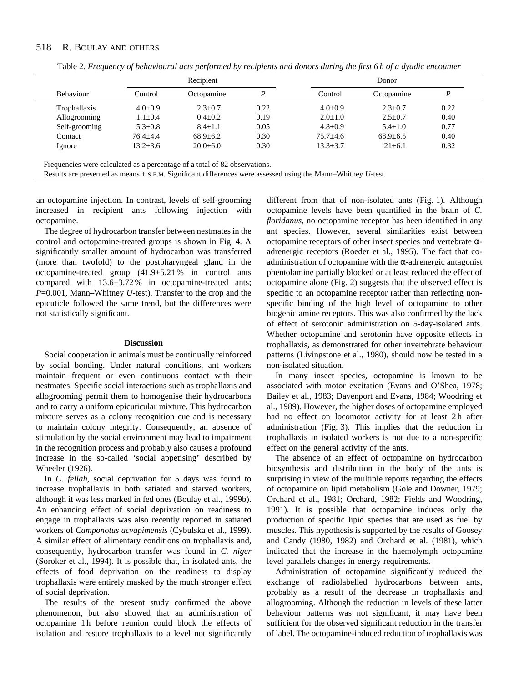#### 518 R. BOULAY AND OTHERS

|               | Recipient      |                |      | Donor          |                |      |  |
|---------------|----------------|----------------|------|----------------|----------------|------|--|
| Behaviour     | Control        | Octopamine     | P    | Control        | Octopamine     | P    |  |
| Trophallaxis  | $4.0 \pm 0.9$  | $2.3+0.7$      | 0.22 | $4.0 \pm 0.9$  | $2.3+0.7$      | 0.22 |  |
| Allogrooming  | $1.1 \pm 0.4$  | $0.4 \pm 0.2$  | 0.19 | $2.0 \pm 1.0$  | $2.5 \pm 0.7$  | 0.40 |  |
| Self-grooming | $5.3 \pm 0.8$  | $8.4 \pm 1.1$  | 0.05 | $4.8 \pm 0.9$  | $5.4 \pm 1.0$  | 0.77 |  |
| Contact       | $76.4 + 4.4$   | $68.9 \pm 6.2$ | 0.30 | $75.7 + 4.6$   | $68.9 \pm 6.5$ | 0.40 |  |
| Ignore        | $13.2 \pm 3.6$ | $20.0 \pm 6.0$ | 0.30 | $13.3 \pm 3.7$ | $21 \pm 6.1$   | 0.32 |  |

Table 2. *Frequency of behavioural acts performed by recipients and donors during the first 6 h of a dyadic encounter*

an octopamine injection. In contrast, levels of self-grooming increased in recipient ants following injection with octopamine.

The degree of hydrocarbon transfer between nestmates in the control and octopamine-treated groups is shown in Fig. 4. A significantly smaller amount of hydrocarbon was transferred (more than twofold) to the postpharyngeal gland in the octopamine-treated group (41.9±5.21 % in control ants compared with 13.6±3.72 % in octopamine-treated ants; *P*=0.001, Mann–Whitney *U*-test). Transfer to the crop and the epicuticle followed the same trend, but the differences were not statistically significant.

### **Discussion**

Social cooperation in animals must be continually reinforced by social bonding. Under natural conditions, ant workers maintain frequent or even continuous contact with their nestmates. Specific social interactions such as trophallaxis and allogrooming permit them to homogenise their hydrocarbons and to carry a uniform epicuticular mixture. This hydrocarbon mixture serves as a colony recognition cue and is necessary to maintain colony integrity. Consequently, an absence of stimulation by the social environment may lead to impairment in the recognition process and probably also causes a profound increase in the so-called 'social appetising' described by Wheeler (1926).

In *C. fellah*, social deprivation for 5 days was found to increase trophallaxis in both satiated and starved workers, although it was less marked in fed ones (Boulay et al., 1999b). An enhancing effect of social deprivation on readiness to engage in trophallaxis was also recently reported in satiated workers of *Camponotus acvapimensis* (Cybulska et al., 1999). A similar effect of alimentary conditions on trophallaxis and, consequently, hydrocarbon transfer was found in *C. niger* (Soroker et al., 1994). It is possible that, in isolated ants, the effects of food deprivation on the readiness to display trophallaxis were entirely masked by the much stronger effect of social deprivation.

The results of the present study confirmed the above phenomenon, but also showed that an administration of octopamine 1 h before reunion could block the effects of isolation and restore trophallaxis to a level not significantly

different from that of non-isolated ants (Fig. 1). Although octopamine levels have been quantified in the brain of *C. floridanus*, no octopamine receptor has been identified in any ant species. However, several similarities exist between octopamine receptors of other insect species and vertebrate  $\alpha$ adrenergic receptors (Roeder et al., 1995). The fact that coadministration of octopamine with the  $\alpha$ -adrenergic antagonist phentolamine partially blocked or at least reduced the effect of octopamine alone (Fig. 2) suggests that the observed effect is specific to an octopamine receptor rather than reflecting nonspecific binding of the high level of octopamine to other biogenic amine receptors. This was also confirmed by the lack of effect of serotonin administration on 5-day-isolated ants. Whether octopamine and serotonin have opposite effects in trophallaxis, as demonstrated for other invertebrate behaviour patterns (Livingstone et al., 1980), should now be tested in a non-isolated situation.

In many insect species, octopamine is known to be associated with motor excitation (Evans and O'Shea, 1978; Bailey et al., 1983; Davenport and Evans, 1984; Woodring et al., 1989). However, the higher doses of octopamine employed had no effect on locomotor activity for at least 2h after administration (Fig. 3). This implies that the reduction in trophallaxis in isolated workers is not due to a non-specific effect on the general activity of the ants.

The absence of an effect of octopamine on hydrocarbon biosynthesis and distribution in the body of the ants is surprising in view of the multiple reports regarding the effects of octopamine on lipid metabolism (Gole and Downer, 1979; Orchard et al., 1981; Orchard, 1982; Fields and Woodring, 1991). It is possible that octopamine induces only the production of specific lipid species that are used as fuel by muscles. This hypothesis is supported by the results of Goosey and Candy (1980, 1982) and Orchard et al. (1981), which indicated that the increase in the haemolymph octopamine level parallels changes in energy requirements.

Administration of octopamine significantly reduced the exchange of radiolabelled hydrocarbons between ants, probably as a result of the decrease in trophallaxis and allogrooming. Although the reduction in levels of these latter behaviour patterns was not significant, it may have been sufficient for the observed significant reduction in the transfer of label. The octopamine-induced reduction of trophallaxis was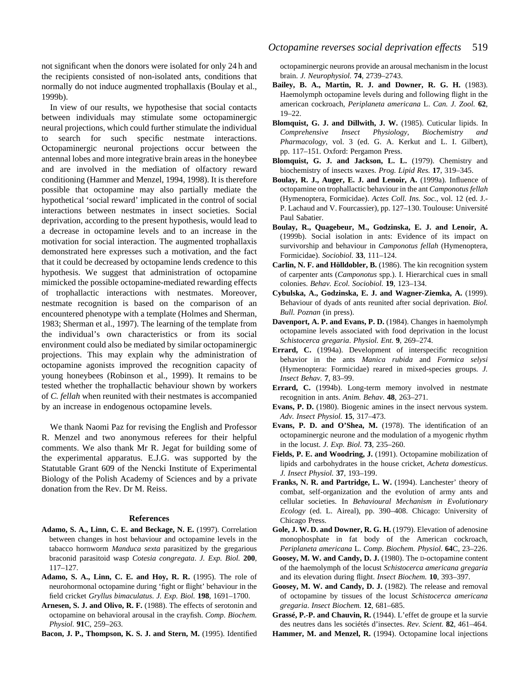not significant when the donors were isolated for only 24 h and the recipients consisted of non-isolated ants, conditions that normally do not induce augmented trophallaxis (Boulay et al., 1999b).

In view of our results, we hypothesise that social contacts between individuals may stimulate some octopaminergic neural projections, which could further stimulate the individual to search for such specific nestmate interactions. Octopaminergic neuronal projections occur between the antennal lobes and more integrative brain areas in the honeybee and are involved in the mediation of olfactory reward conditioning (Hammer and Menzel, 1994, 1998). It is therefore possible that octopamine may also partially mediate the hypothetical 'social reward' implicated in the control of social interactions between nestmates in insect societies. Social deprivation, according to the present hypothesis, would lead to a decrease in octopamine levels and to an increase in the motivation for social interaction. The augmented trophallaxis demonstrated here expresses such a motivation, and the fact that it could be decreased by octopamine lends credence to this hypothesis. We suggest that administration of octopamine mimicked the possible octopamine-mediated rewarding effects of trophallactic interactions with nestmates. Moreover, nestmate recognition is based on the comparison of an encountered phenotype with a template (Holmes and Sherman, 1983; Sherman et al., 1997). The learning of the template from the individual's own characteristics or from its social environment could also be mediated by similar octopaminergic projections. This may explain why the administration of octopamine agonists improved the recognition capacity of young honeybees (Robinson et al., 1999). It remains to be tested whether the trophallactic behaviour shown by workers of *C. fellah* when reunited with their nestmates is accompanied by an increase in endogenous octopamine levels.

We thank Naomi Paz for revising the English and Professor R. Menzel and two anonymous referees for their helpful comments. We also thank Mr R. Jegat for building some of the experimental apparatus. E.J.G. was supported by the Statutable Grant 609 of the Nencki Institute of Experimental Biology of the Polish Academy of Sciences and by a private donation from the Rev. Dr M. Reiss.

### **References**

- **Adamo, S. A., Linn, C. E. and Beckage, N. E.** (1997). Correlation between changes in host behaviour and octopamine levels in the tabacco hornworm *Manduca sexta* parasitized by the gregarious braconid parasitoid wasp *Cotesia congregata*. *J. Exp. Biol.* **200**, 117–127.
- **Adamo, S. A., Linn, C. E. and Hoy, R. R.** (1995). The role of neurohormonal octopamine during 'fight or flight' behaviour in the field cricket *Gryllus bimaculatus*. *J. Exp. Biol.* **198**, 1691–1700.
- **Arnesen, S. J. and Olivo, R. F.** (1988). The effects of serotonin and octopamine on behavioral arousal in the crayfish. *Comp. Biochem. Physiol.* **91**C, 259–263.
- **Bacon, J. P., Thompson, K. S. J. and Stern, M.** (1995). Identified

octopaminergic neurons provide an arousal mechanism in the locust brain. *J. Neurophysiol.* **74**, 2739–2743.

- **Bailey, B. A., Martin, R. J. and Downer, R. G. H.** (1983). Haemolymph octopamine levels during and following flight in the american cockroach, *Periplaneta americana* L. *Can. J. Zool.* **62**, 19–22.
- **Blomquist, G. J. and Dillwith, J. W.** (1985). Cuticular lipids. In *Comprehensive Insect Physiology, Biochemistry and Pharmacology*, vol. 3 (ed. G. A. Kerkut and L. I. Gilbert), pp. 117–151. Oxford: Pergamon Press.
- **Blomquist, G. J. and Jackson, L. L.** (1979). Chemistry and biochemistry of insects waxes. *Prog. Lipid Res.* **17**, 319–345.
- **Boulay, R. J., Auger, E. J. and Lenoir, A.** (1999a). Influence of octopamine on trophallactic behaviour in the ant *Camponotus fellah* (Hymenoptera, Formicidae). *Actes Coll. Ins. Soc.*, vol. 12 (ed. J.- P. Lachaud and V. Fourcassier), pp. 127–130. Toulouse: Université Paul Sabatier.
- **Boulay, R., Quagebeur, M., Godzinska, E. J. and Lenoir, A.** (1999b). Social isolation in ants: Evidence of its impact on survivorship and behaviour in *Camponotus fellah* (Hymenoptera, Formicidae). *Sociobiol.* **33**, 111–124.
- **Carlin, N. F. and Hölldobler, B.** (1986). The kin recognition system of carpenter ants (*Camponotus* spp.). I. Hierarchical cues in small colonies. *Behav. Ecol. Sociobiol.* **19**, 123–134.
- **Cybulska, A., Godzinska, E. J. and Wagner-Ziemka, A.** (1999). Behaviour of dyads of ants reunited after social deprivation. *Biol. Bull. Poznan* (in press).
- **Davenport, A. P. and Evans, P. D.** (1984). Changes in haemolymph octopamine levels associated with food deprivation in the locust *Schistocerca gregaria*. *Physiol. Ent.* **9**, 269–274.
- **Errard, C.** (1994a). Development of interspecific recognition behavior in the ants *Manica rubida* and *Formica selysi* (Hymenoptera: Formicidae) reared in mixed-species groups*. J. Insect Behav.* **7**, 83–99.
- **Errard, C.** (1994b). Long-term memory involved in nestmate recognition in ants. *Anim. Behav.* **48**, 263–271.
- **Evans, P. D.** (1980). Biogenic amines in the insect nervous system. *Adv. Insect Physiol.* **15**, 317–473.
- **Evans, P. D. and O'Shea, M.** (1978). The identification of an octopaminergic neurone and the modulation of a myogenic rhythm in the locust. *J. Exp. Biol.* **73**, 235–260.
- **Fields, P. E. and Woodring, J.** (1991). Octopamine mobilization of lipids and carbohydrates in the house cricket, *Acheta domesticus*. *J. Insect Physiol.* **37**, 193–199.
- **Franks, N. R. and Partridge, L. W.** (1994). Lanchester' theory of combat, self-organization and the evolution of army ants and cellular societies. In *Behavioural Mechanism in Evolutionary Ecology* (ed. L. Aireal), pp. 390–408. Chicago: University of Chicago Press.
- **Gole, J. W. D. and Downer, R. G. H.** (1979). Elevation of adenosine monophosphate in fat body of the American cockroach, *Periplaneta americana* L. *Comp. Biochem. Physiol.* **64**C, 23–226.
- **Goosey, M. W. and Candy, D. J.** (1980). The D-octopamine content of the haemolymph of the locust *Schistocerca americana gregaria* and its elevation during flight. *Insect Biochem.* **10**, 393–397.
- **Goosey, M. W. and Candy, D. J.** (1982). The release and removal of octopamine by tissues of the locust *Schistocerca americana gregaria*. *Insect Biochem.* **12**, 681–685.
- **Grassé, P.-P. and Chauvin, R.** (1944). L'effet de groupe et la survie des neutres dans les sociétés d'insectes. *Rev. Scient.* **82**, 461–464.
- **Hammer, M. and Menzel, R.** (1994). Octopamine local injections